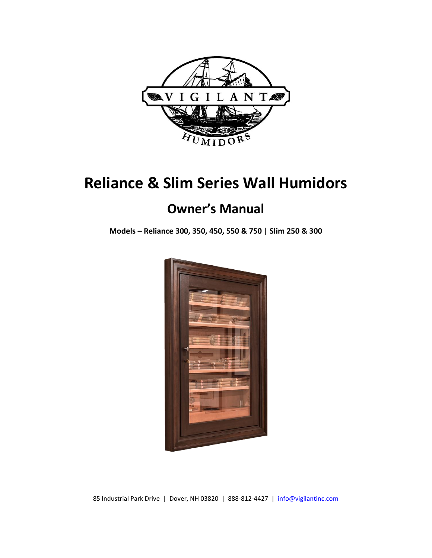

# **Reliance & Slim Series Wall Humidors**

## **Owner's Manual**

**Models – Reliance 300, 350, 450, 550 & 750 | Slim 250 & 300**



85 Industrial Park Drive | Dover, NH 03820 | 888-812-4427 | [info@vigilantinc.com](mailto:info@vigilantinc.com)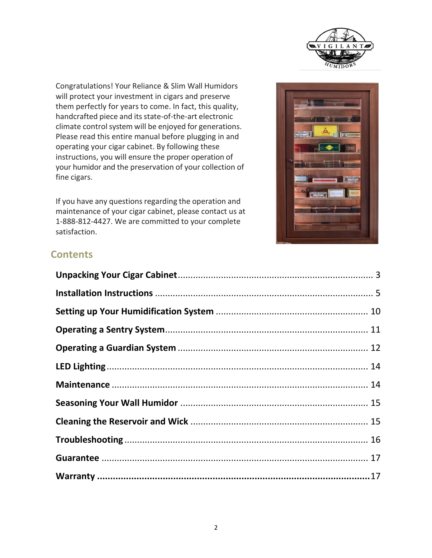

Congratulations! Your Reliance & Slim Wall Humidors will protect your investment in cigars and preserve them perfectly for years to come. In fact, this quality, handcrafted piece and its state-of-the-art electronic climate control system will be enjoyed for generations. Please read this entire manual before plugging in and operating your cigar cabinet. By following these instructions, you will ensure the proper operation of your humidor and the preservation of your collection of fine cigars.

If you have any questions regarding the operation and maintenance of your cigar cabinet, please contact us at 1-888-812-4427. We are committed to your complete satisfaction.



## **Contents**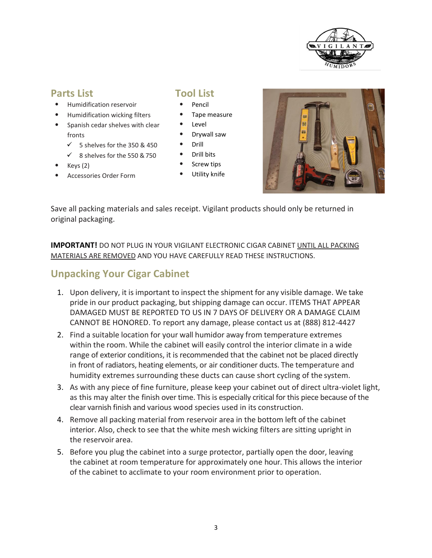

### **Parts List**

- Humidification reservoir
- Humidification wicking filters
- Spanish cedar shelves with clear fronts
	- $\checkmark$  5 shelves for the 350 & 450
	- $\checkmark$  8 shelves for the 550 & 750
- Keys (2)
- Accessories Order Form

### **Tool List**

- Pencil
- Tape measure
- Level
- Drywall saw
- Drill
- Drill bits
- Screw tips
- Utility knife



Save all packing materials and sales receipt. Vigilant products should only be returned in original packaging.

**IMPORTANT!** DO NOT PLUG IN YOUR VIGILANT ELECTRONIC CIGAR CABINET UNTIL ALL PACKING MATERIALS ARE REMOVED AND YOU HAVE CAREFULLY READ THESE INSTRUCTIONS.

## <span id="page-2-0"></span>**Unpacking Your Cigar Cabinet**

- 1. Upon delivery, it is important to inspect the shipment for any visible damage. We take pride in our product packaging, but shipping damage can occur. ITEMS THAT APPEAR DAMAGED MUST BE REPORTED TO US IN 7 DAYS OF DELIVERY OR A DAMAGE CLAIM CANNOT BE HONORED. To report any damage, please contact us at (888) 812-4427
- 2. Find a suitable location for your wall humidor away from temperature extremes within the room. While the cabinet will easily control the interior climate in a wide range of exterior conditions, it is recommended that the cabinet not be placed directly in front of radiators, heating elements, or air conditioner ducts. The temperature and humidity extremes surrounding these ducts can cause short cycling of the system.
- 3. As with any piece of fine furniture, please keep your cabinet out of direct ultra-violet light, as this may alter the finish over time. This is especially critical for this piece because of the clear varnish finish and various wood species used in its construction.
- 4. Remove all packing material from reservoir area in the bottom left of the cabinet interior. Also, check to see that the white mesh wicking filters are sitting upright in the reservoir area.
- 5. Before you plug the cabinet into a surge protector, partially open the door, leaving the cabinet at room temperature for approximately one hour. This allows the interior of the cabinet to acclimate to your room environment prior to operation.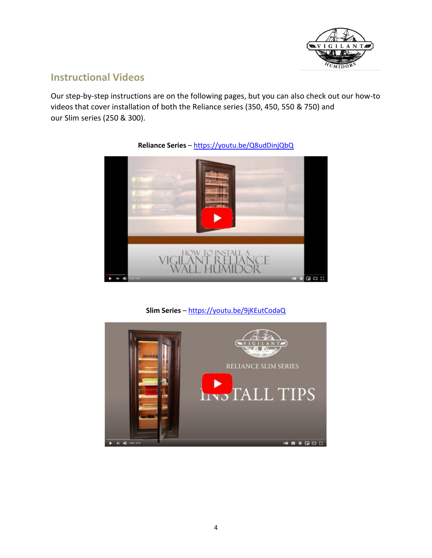

## **Instructional Videos**

Our step-by-step instructions are on the following pages, but you can also check out our how-to videos that cover installation of both the Reliance series (350, 450, 550 & 750) and our Slim series (250 & 300).



**Reliance Series** – <https://youtu.be/Q8udDinjQbQ>

**Slim Series** – <https://youtu.be/9jKEutCodaQ>

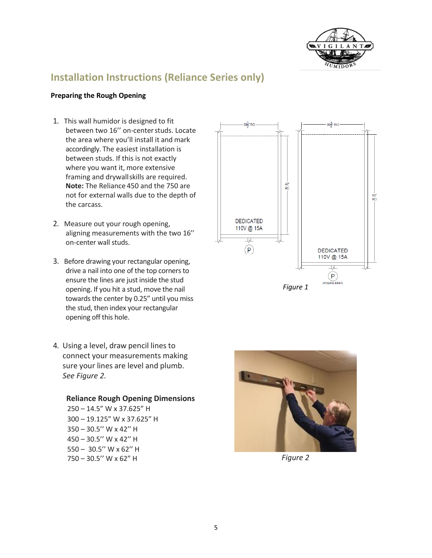

## <span id="page-4-0"></span>**Installation Instructions (Reliance Series only)**

### **Preparing the Rough Opening**

- 1. This wall humidor is designed to fit between two 16'' on-centerstuds. Locate the area where you'll install it and mark accordingly. The easiest installation is between studs. If this is not exactly where you want it, more extensive framing and drywallskills are required. **Note:** The Reliance 450 and the 750 are not for external walls due to the depth of the carcass.
- 2. Measure out your rough opening, aligning measurements with the two 16'' on-center wall studs.
- 3. Before drawing your rectangular opening, drive a nail into one of the top corners to ensure the lines are just inside the stud opening. If you hit a stud, move the nail towards the center by 0.25" until you miss the stud, then index your rectangular opening off this hole.
- 4. Using a level, draw pencil lines to connect your measurements making sure your lines are level and plumb. *See Figure 2.*

### **Reliance Rough Opening Dimensions**

– 14.5" W x 37.625" H – 19.125" W x 37.625" H – 30.5'' W x 42'' H – 30.5'' W x 42'' H – 30.5'' W x 62'' H – 30.5'' W x 62" H *Figure 2*



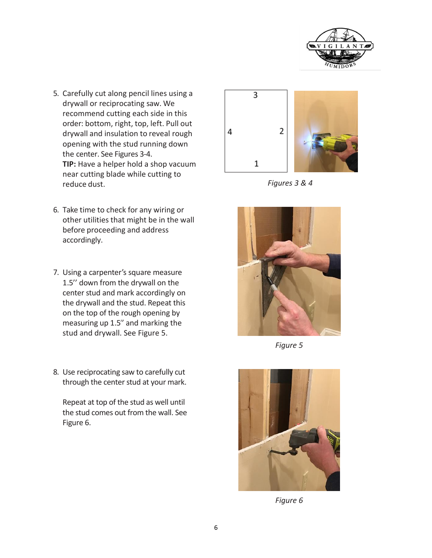

- 5. Carefully cut along pencil lines using a drywall or reciprocating saw. We recommend cutting each side in this order: bottom, right, top, left. Pull out drywall and insulation to reveal rough opening with the stud running down the center. See Figures 3-4. **TIP:** Have a helper hold a shop vacuum near cutting blade while cutting to reduce dust. *Figures 3 & 4*
- 6. Take time to check for any wiring or other utilities that might be in the wall before proceeding and address accordingly.
- 7. Using a carpenter's square measure 1.5'' down from the drywall on the center stud and mark accordingly on the drywall and the stud. Repeat this on the top of the rough opening by measuring up 1.5'' and marking the stud and drywall. See Figure 5.
- 8. Use reciprocating saw to carefully cut through the center stud at your mark.

Repeat at top of the stud as well until the stud comes out from the wall. See Figure 6.





*Figure 5*



*Figure 6*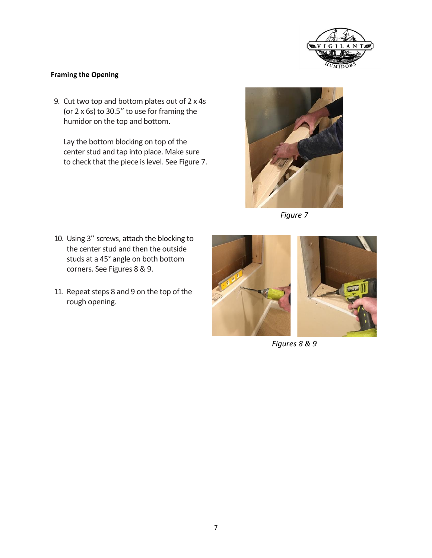

### **Framing the Opening**

9. Cut two top and bottom plates out of 2 x 4s (or 2 x 6s) to 30.5'' to use for framing the humidor on the top and bottom.

Lay the bottom blocking on top of the center stud and tap into place. Make sure to check that the piece is level. See Figure 7.



*Figure 7*

- 10. Using 3'' screws, attach the blocking to the center stud and then the outside studs at a 45° angle on both bottom corners. See Figures 8 & 9.
- 11. Repeat steps 8 and 9 on the top of the rough opening.



*Figures 8 & 9*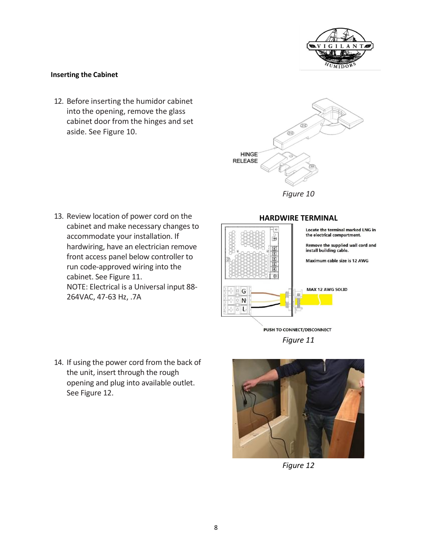

### **Inserting the Cabinet**

12. Before inserting the humidor cabinet into the opening, remove the glass cabinet door from the hinges and set aside. See Figure 10.



*Figure 10*

13. Review location of power cord on the cabinet and make necessary changes to accommodate your installation. If hardwiring, have an electrician remove front access panel below controller to run code-approved wiring into the cabinet. See Figure 11. NOTE: Electrical is a Universal input 88- 264VAC, 47-63 Hz, .7A



*Figure 11*

14. If using the power cord from the back of the unit, insert through the rough opening and plug into available outlet. See Figure 12.



*Figure 12*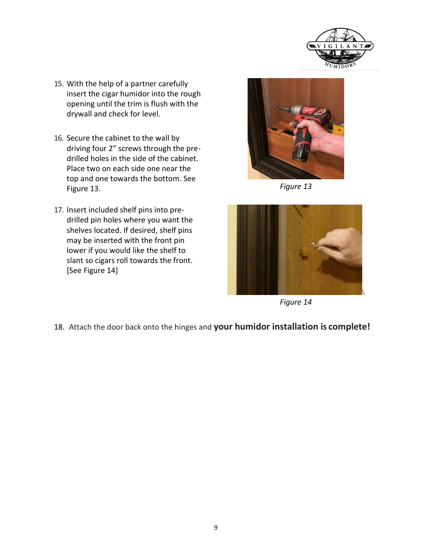

- 15. With the help of a partner carefully insert the cigar humidor into the rough opening until the trim is flush with the drywall and check for level.
- 16. Secure the cabinet to the wall by driving four 2" screws through the predrilled holes in the side of the cabinet. Place two on each side one near the top and one towards the bottom. See Figure 13.
- 17. Insert included shelf pins into predrilled pin holes where you want the shelves located. If desired, shelf pins may be inserted with the front pin lower if you would like the shelf to slant so cigars roll towards the front. [See Figure 14]



*Figure 13*



*Figure 14*

18. Attach the door back onto the hinges and **your humidor installation is complete!**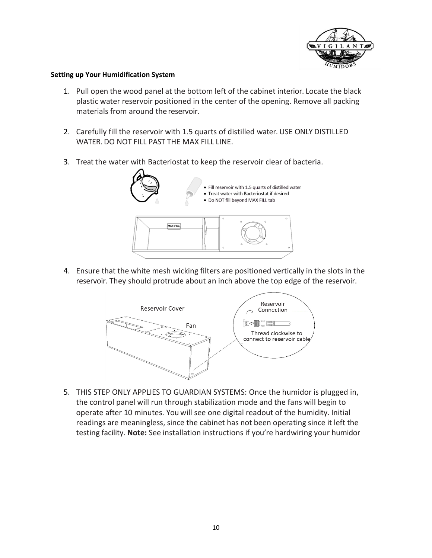

### <span id="page-9-0"></span>**Setting up Your Humidification System**

- 1. Pull open the wood panel at the bottom left of the cabinet interior. Locate the black plastic water reservoir positioned in the center of the opening. Remove all packing materials from around the reservoir.
- 2. Carefully fill the reservoir with 1.5 quarts of distilled water. USE ONLY DISTILLED WATER. DO NOT FILL PAST THE MAX FILL LINE.
- 3. Treat the water with Bacteriostat to keep the reservoir clear of bacteria.



4. Ensure that the white mesh wicking filters are positioned vertically in the slots in the reservoir. They should protrude about an inch above the top edge of the reservoir.



5. THIS STEP ONLY APPLIES TO GUARDIAN SYSTEMS: Once the humidor is plugged in, the control panel will run through stabilization mode and the fans will begin to operate after 10 minutes. You will see one digital readout of the humidity. Initial readings are meaningless, since the cabinet has not been operating since it left the testing facility. **Note:** See installation instructions if you're hardwiring your humidor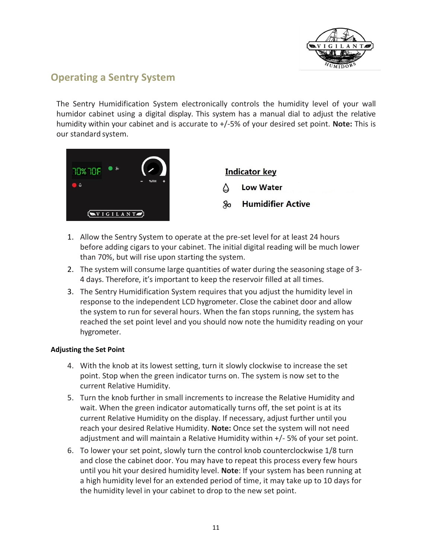

## <span id="page-10-0"></span>**Operating a Sentry System**

The Sentry Humidification System electronically controls the humidity level of your wall humidor cabinet using a digital display. This system has a manual dial to adjust the relative humidity within your cabinet and is accurate to +/-5% of your desired set point. **Note:** This is our standard system.



**Indicator key Low Water** Δ **Humidifier Active** 名⇔

- 1. Allow the Sentry System to operate at the pre-set level for at least 24 hours before adding cigars to your cabinet. The initial digital reading will be much lower than 70%, but will rise upon starting the system.
- 2. The system will consume large quantities of water during the seasoning stage of 3- 4 days. Therefore, it's important to keep the reservoir filled at all times.
- 3. The Sentry Humidification System requires that you adjust the humidity level in response to the independent LCD hygrometer. Close the cabinet door and allow the system to run for several hours. When the fan stops running, the system has reached the set point level and you should now note the humidity reading on your hygrometer.

### **Adjusting the Set Point**

- 4. With the knob at its lowest setting, turn it slowly clockwise to increase the set point. Stop when the green indicator turns on. The system is now set to the current Relative Humidity.
- 5. Turn the knob further in small increments to increase the Relative Humidity and wait. When the green indicator automatically turns off, the set point is at its current Relative Humidity on the display. If necessary, adjust further until you reach your desired Relative Humidity. **Note:** Once set the system will not need adjustment and will maintain a Relative Humidity within +/- 5% of your set point.
- 6. To lower your set point, slowly turn the control knob counterclockwise 1/8 turn and close the cabinet door. You may have to repeat this process every few hours until you hit your desired humidity level. **Note**: If your system has been running at a high humidity level for an extended period of time, it may take up to 10 days for the humidity level in your cabinet to drop to the new set point.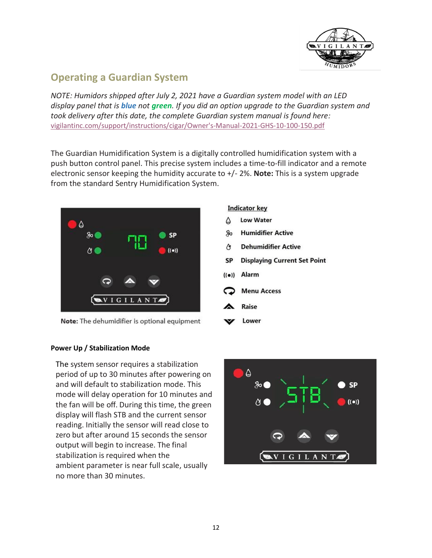

## <span id="page-11-0"></span>**Operating a Guardian System**

*NOTE: Humidors shipped after July 2, 2021 have a Guardian system model with an LED display panel that is blue not green. If you did an option upgrade to the Guardian system and took delivery after this date, the complete Guardian system manual is found here:* [vigilantinc.com/support/instructions/cigar/Owner's-Manual-2021-GHS-10-100-150.pdf](https://vigilantinc.com/support/instructions/cigar/Owner)

The Guardian Humidification System is a digitally controlled humidification system with a push button control panel. This precise system includes a time-to-fill indicator and a remote electronic sensor keeping the humidity accurate to +/- 2%. **Note:** This is a system upgrade from the standard Sentry Humidification System.



Note: The dehumidifier is optional equipment

### **Indicator key**

- ۵ **Low Water**
- **Humidifier Active** 80
- **Dehumidifier Active**  $\alpha$
- **Displaying Current Set Point SP**
- $((\bullet))$  Alarm
- **Menu Access**
- **Raise**
- Lower

### **Power Up / Stabilization Mode**

The system sensor requires a stabilization period of up to 30 minutes after powering on and will default to stabilization mode. This mode will delay operation for 10 minutes and the fan will be off. During this time, the green display will flash STB and the current sensor reading. Initially the sensor will read close to zero but after around 15 seconds the sensor output will begin to increase. The final stabilization is required when the ambient parameter is near full scale, usually no more than 30 minutes.

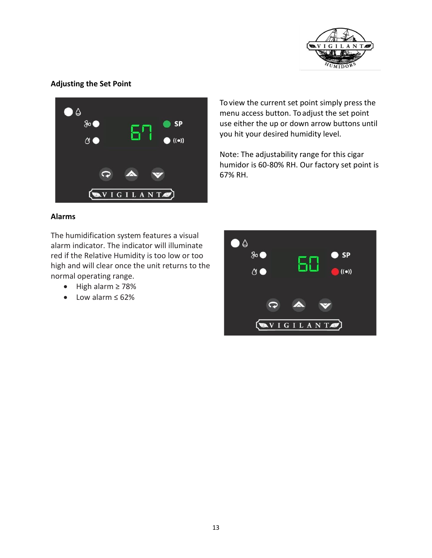

### **Adjusting the Set Point**



To view the current set point simply press the menu access button. To adjust the set point use either the up or down arrow buttons until you hit your desired humidity level.

Note: The adjustability range for this cigar humidor is 60-80% RH. Our factory set point is 67% RH.

### **Alarms**

The humidification system features a visual alarm indicator. The indicator will illuminate red if the Relative Humidity is too low or too high and will clear once the unit returns to the normal operating range.

- High alarm ≥ 78%
- Low alarm ≤ 62%

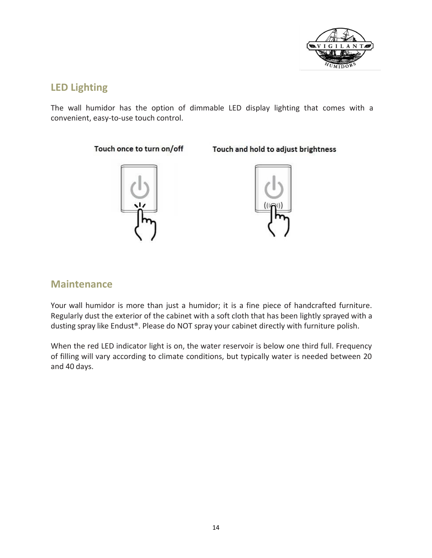

## <span id="page-13-0"></span>**LED Lighting**

The wall humidor has the option of dimmable LED display lighting that comes with a convenient, easy-to-use touch control.

### Touch once to turn on/off



## Touch and hold to adjust brightness



### <span id="page-13-1"></span>**Maintenance**

Your wall humidor is more than just a humidor; it is a fine piece of handcrafted furniture. Regularly dust the exterior of the cabinet with a soft cloth that has been lightly sprayed with a dusting spray like Endust®. Please do NOT spray your cabinet directly with furniture polish.

When the red LED indicator light is on, the water reservoir is below one third full. Frequency of filling will vary according to climate conditions, but typically water is needed between 20 and 40 days.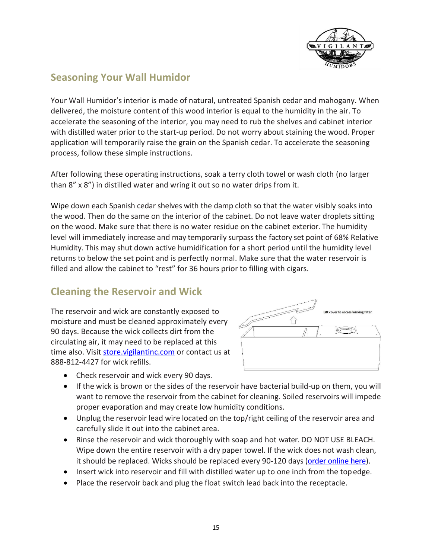

## <span id="page-14-0"></span>**Seasoning Your Wall Humidor**

Your Wall Humidor's interior is made of natural, untreated Spanish cedar and mahogany. When delivered, the moisture content of this wood interior is equal to the humidity in the air. To accelerate the seasoning of the interior, you may need to rub the shelves and cabinet interior with distilled water prior to the start-up period. Do not worry about staining the wood. Proper application will temporarily raise the grain on the Spanish cedar. To accelerate the seasoning process, follow these simple instructions.

After following these operating instructions, soak a terry cloth towel or wash cloth (no larger than 8" x 8") in distilled water and wring it out so no water drips from it.

Wipe down each Spanish cedar shelves with the damp cloth so that the water visibly soaks into the wood. Then do the same on the interior of the cabinet. Do not leave water droplets sitting on the wood. Make sure that there is no water residue on the cabinet exterior. The humidity level will immediately increase and may temporarily surpass the factory set point of 68% Relative Humidity. This may shut down active humidification for a short period until the humidity level returns to below the set point and is perfectly normal. Make sure that the water reservoir is filled and allow the cabinet to "rest" for 36 hours prior to filling with cigars.

## <span id="page-14-1"></span>**Cleaning the Reservoir and Wick**

The reservoir and wick are constantly exposed to moisture and must be cleaned approximately every 90 days. Because the wick collects dirt from the circulating air, it may need to be replaced at this time also. Visit [store.vigilantinc.com](https://store.vigilantinc.com/product-category/cigar-humidors/humidor-accessories/) or contact us at 888-812-4427 for wick refills.



- Check reservoir and wick every 90 days.
- If the wick is brown or the sides of the reservoir have bacterial build-up on them, you will want to remove the reservoir from the cabinet for cleaning. Soiled reservoirs will impede proper evaporation and may create low humidity conditions.
- Unplug the reservoir lead wire located on the top/right ceiling of the reservoir area and carefully slide it out into the cabinet area.
- Rinse the reservoir and wick thoroughly with soap and hot water. DO NOT USE BLEACH. Wipe down the entire reservoir with a dry paper towel. If the wick does not wash clean, it should be replaced. Wicks should be replaced every 90-120 days [\(order online here\)](https://store.vigilantinc.com/product-category/cigar-humidors/humidor-accessories/).
- Insert wick into reservoir and fill with distilled water up to one inch from the topedge.
- Place the reservoir back and plug the float switch lead back into the receptacle.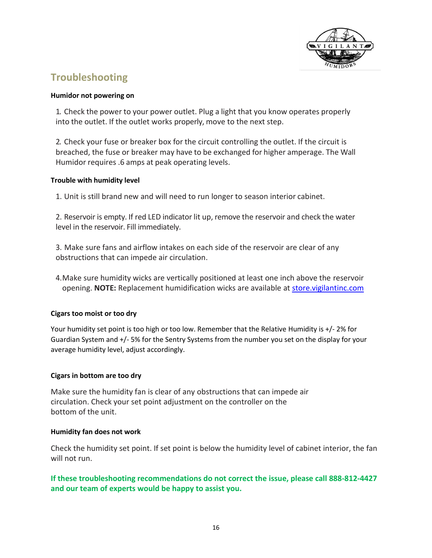

## <span id="page-15-0"></span>**Troubleshooting**

### **Humidor not powering on**

1. Check the power to your power outlet. Plug a light that you know operates properly into the outlet. If the outlet works properly, move to the next step.

2. Check your fuse or breaker box for the circuit controlling the outlet. If the circuit is breached, the fuse or breaker may have to be exchanged for higher amperage. The Wall Humidor requires .6 amps at peak operating levels.

### **Trouble with humidity level**

1. Unit is still brand new and will need to run longer to season interior cabinet.

2. Reservoir is empty. If red LED indicator lit up, remove the reservoir and check the water level in the reservoir. Fill immediately.

3. Make sure fans and airflow intakes on each side of the reservoir are clear of any obstructions that can impede air circulation.

4.Make sure humidity wicks are vertically positioned at least one inch above the reservoir opening. **NOTE:** Replacement humidification wicks are available at [store.vigilantinc.com](https://store.vigilantinc.com/)

### **Cigars too moist or too dry**

Your humidity set point is too high or too low. Remember that the Relative Humidity is +/- 2% for Guardian System and +/- 5% for the Sentry Systems from the number you set on the display for your average humidity level, adjust accordingly.

### **Cigars in bottom are too dry**

Make sure the humidity fan is clear of any obstructions that can impede air circulation. Check your set point adjustment on the controller on the bottom of the unit.

### **Humidity fan does not work**

Check the humidity set point. If set point is below the humidity level of cabinet interior, the fan will not run.

### **If these troubleshooting recommendations do not correct the issue, please call 888-812-4427 and our team of experts would be happy to assist you.**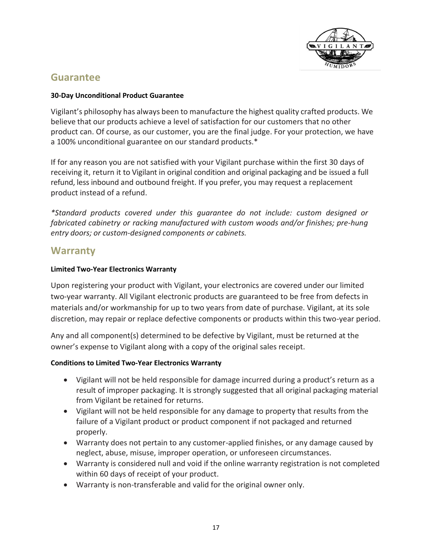

## <span id="page-16-0"></span>**Guarantee**

### **30-Day Unconditional Product Guarantee**

Vigilant's philosophy has always been to manufacture the highest quality crafted products. We believe that our products achieve a level of satisfaction for our customers that no other product can. Of course, as our customer, you are the final judge. For your protection, we have a 100% unconditional guarantee on our standard products.\*

If for any reason you are not satisfied with your Vigilant purchase within the first 30 days of receiving it, return it to Vigilant in original condition and original packaging and be issued a full refund, less inbound and outbound freight. If you prefer, you may request a replacement product instead of a refund.

*\*Standard products covered under this guarantee do not include: custom designed or fabricated cabinetry or racking manufactured with custom woods and/or finishes; pre-hung entry doors; or custom-designed components or cabinets.*

## **Warranty**

### <span id="page-16-1"></span>**Limited Two-Year Electronics Warranty**

Upon registering your product with Vigilant, your electronics are covered under our limited two-year warranty. All Vigilant electronic products are guaranteed to be free from defects in materials and/or workmanship for up to two years from date of purchase. Vigilant, at its sole discretion, may repair or replace defective components or products within this two-year period.

Any and all component(s) determined to be defective by Vigilant, must be returned at the owner's expense to Vigilant along with a copy of the original sales receipt.

### **Conditions to Limited Two-Year Electronics Warranty**

- Vigilant will not be held responsible for damage incurred during a product's return as a result of improper packaging. It is strongly suggested that all original packaging material from Vigilant be retained for returns.
- Vigilant will not be held responsible for any damage to property that results from the failure of a Vigilant product or product component if not packaged and returned properly.
- Warranty does not pertain to any customer-applied finishes, or any damage caused by neglect, abuse, misuse, improper operation, or unforeseen circumstances.
- Warranty is considered null and void if the online warranty registration is not completed within 60 days of receipt of your product.
- Warranty is non-transferable and valid for the original owner only.